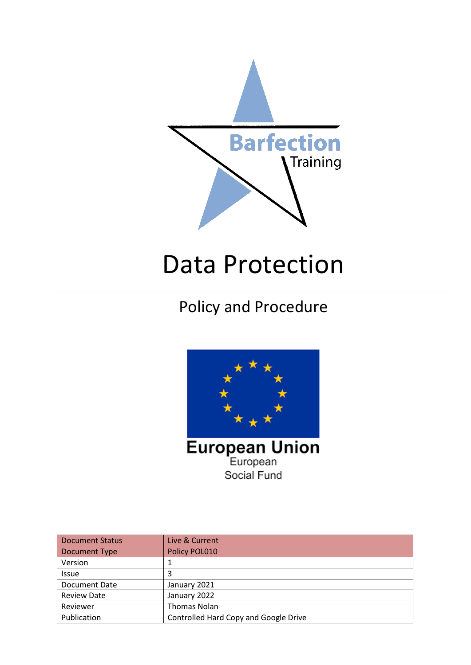

# Data Protection

# Policy and Procedure



Document Status | Live & Current Document Type Policy POL010 Version 1  $\vert$  3 Document Date | January 2021 Review Date January 2022 Reviewer | Thomas Nolan Publication **Controlled Hard Copy and Google Drive**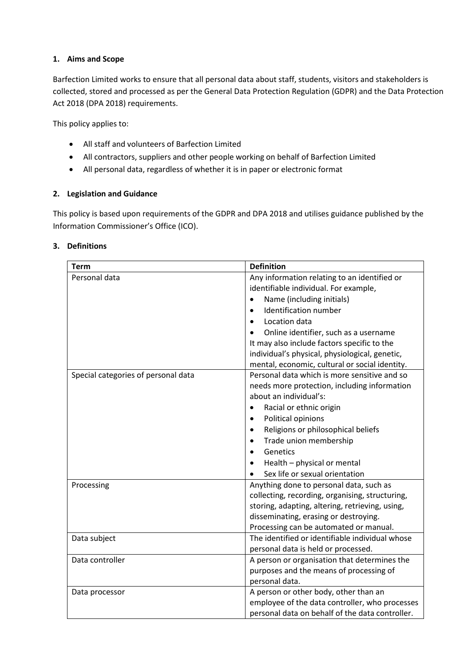# **1. Aims and Scope**

Barfection Limited works to ensure that all personal data about staff, students, visitors and stakeholders is collected, stored and processed as per the General Data Protection Regulation (GDPR) and the Data Protection Act 2018 (DPA 2018) requirements.

This policy applies to:

- All staff and volunteers of Barfection Limited
- All contractors, suppliers and other people working on behalf of Barfection Limited
- All personal data, regardless of whether it is in paper or electronic format

# **2. Legislation and Guidance**

This policy is based upon requirements of the GDPR and DPA 2018 and utilises guidance published by the Information Commissioner's Office (ICO).

#### **3. Definitions**

| Term                                | <b>Definition</b>                                                                                                                                                                                                                                                                                                                                                        |
|-------------------------------------|--------------------------------------------------------------------------------------------------------------------------------------------------------------------------------------------------------------------------------------------------------------------------------------------------------------------------------------------------------------------------|
| Personal data                       | Any information relating to an identified or<br>identifiable individual. For example,<br>Name (including initials)<br>$\bullet$<br>Identification number<br>Location data<br>Online identifier, such as a username<br>It may also include factors specific to the<br>individual's physical, physiological, genetic,<br>mental, economic, cultural or social identity.    |
| Special categories of personal data | Personal data which is more sensitive and so<br>needs more protection, including information<br>about an individual's:<br>Racial or ethnic origin<br>$\bullet$<br>Political opinions<br>Religions or philosophical beliefs<br>$\bullet$<br>Trade union membership<br>$\bullet$<br>Genetics<br>$\bullet$<br>Health - physical or mental<br>Sex life or sexual orientation |
| Processing<br>Data subject          | Anything done to personal data, such as<br>collecting, recording, organising, structuring,<br>storing, adapting, altering, retrieving, using,<br>disseminating, erasing or destroying.<br>Processing can be automated or manual.<br>The identified or identifiable individual whose                                                                                      |
| Data controller                     | personal data is held or processed.<br>A person or organisation that determines the<br>purposes and the means of processing of<br>personal data.                                                                                                                                                                                                                         |
| Data processor                      | A person or other body, other than an<br>employee of the data controller, who processes<br>personal data on behalf of the data controller.                                                                                                                                                                                                                               |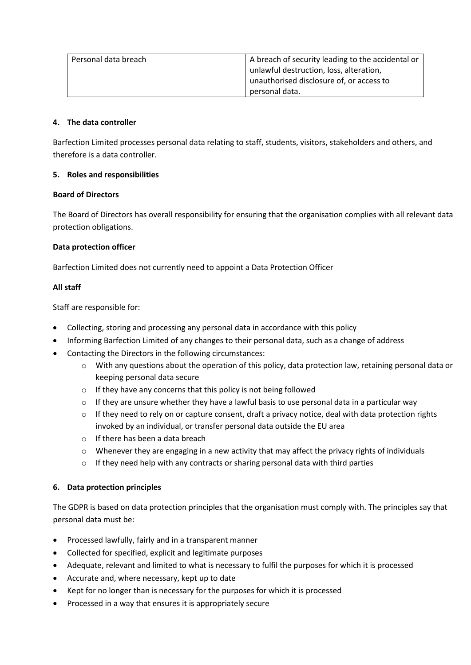| Personal data breach | A breach of security leading to the accidental or |
|----------------------|---------------------------------------------------|
|                      | unlawful destruction, loss, alteration,           |
|                      | unauthorised disclosure of, or access to          |
|                      | personal data.                                    |

#### **4. The data controller**

Barfection Limited processes personal data relating to staff, students, visitors, stakeholders and others, and therefore is a data controller.

# **5. Roles and responsibilities**

# **Board of Directors**

The Board of Directors has overall responsibility for ensuring that the organisation complies with all relevant data protection obligations.

# **Data protection officer**

Barfection Limited does not currently need to appoint a Data Protection Officer

# **All staff**

Staff are responsible for:

- Collecting, storing and processing any personal data in accordance with this policy
- Informing Barfection Limited of any changes to their personal data, such as a change of address
- Contacting the Directors in the following circumstances:
	- $\circ$  With any questions about the operation of this policy, data protection law, retaining personal data or keeping personal data secure
	- o If they have any concerns that this policy is not being followed
	- $\circ$  If they are unsure whether they have a lawful basis to use personal data in a particular way
	- $\circ$  If they need to rely on or capture consent, draft a privacy notice, deal with data protection rights invoked by an individual, or transfer personal data outside the EU area
	- o If there has been a data breach
	- $\circ$  Whenever they are engaging in a new activity that may affect the privacy rights of individuals
	- $\circ$  If they need help with any contracts or sharing personal data with third parties

# **6. Data protection principles**

The GDPR is based on data protection principles that the organisation must comply with. The principles say that personal data must be:

- Processed lawfully, fairly and in a transparent manner
- Collected for specified, explicit and legitimate purposes
- Adequate, relevant and limited to what is necessary to fulfil the purposes for which it is processed
- Accurate and, where necessary, kept up to date
- Kept for no longer than is necessary for the purposes for which it is processed
- Processed in a way that ensures it is appropriately secure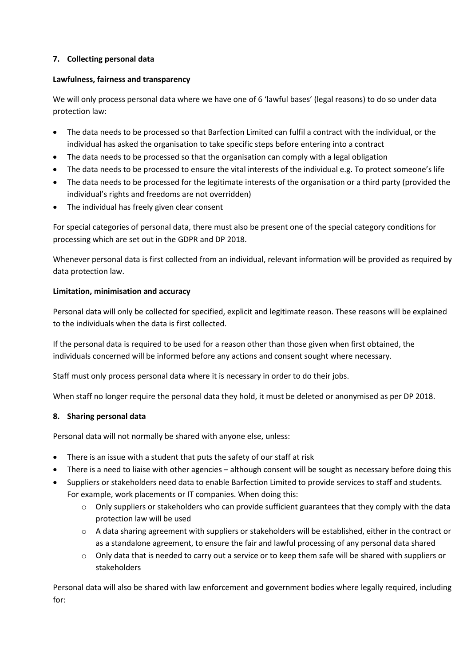# **7. Collecting personal data**

# **Lawfulness, fairness and transparency**

We will only process personal data where we have one of 6 'lawful bases' (legal reasons) to do so under data protection law:

- The data needs to be processed so that Barfection Limited can fulfil a contract with the individual, or the individual has asked the organisation to take specific steps before entering into a contract
- The data needs to be processed so that the organisation can comply with a legal obligation
- The data needs to be processed to ensure the vital interests of the individual e.g. To protect someone's life
- The data needs to be processed for the legitimate interests of the organisation or a third party (provided the individual's rights and freedoms are not overridden)
- The individual has freely given clear consent

For special categories of personal data, there must also be present one of the special category conditions for processing which are set out in the GDPR and DP 2018.

Whenever personal data is first collected from an individual, relevant information will be provided as required by data protection law.

# **Limitation, minimisation and accuracy**

Personal data will only be collected for specified, explicit and legitimate reason. These reasons will be explained to the individuals when the data is first collected.

If the personal data is required to be used for a reason other than those given when first obtained, the individuals concerned will be informed before any actions and consent sought where necessary.

Staff must only process personal data where it is necessary in order to do their jobs.

When staff no longer require the personal data they hold, it must be deleted or anonymised as per DP 2018.

#### **8. Sharing personal data**

Personal data will not normally be shared with anyone else, unless:

- There is an issue with a student that puts the safety of our staff at risk
- There is a need to liaise with other agencies although consent will be sought as necessary before doing this
- Suppliers or stakeholders need data to enable Barfection Limited to provide services to staff and students. For example, work placements or IT companies. When doing this:
	- $\circ$  Only suppliers or stakeholders who can provide sufficient guarantees that they comply with the data protection law will be used
	- $\circ$  A data sharing agreement with suppliers or stakeholders will be established, either in the contract or as a standalone agreement, to ensure the fair and lawful processing of any personal data shared
	- $\circ$  Only data that is needed to carry out a service or to keep them safe will be shared with suppliers or stakeholders

Personal data will also be shared with law enforcement and government bodies where legally required, including for: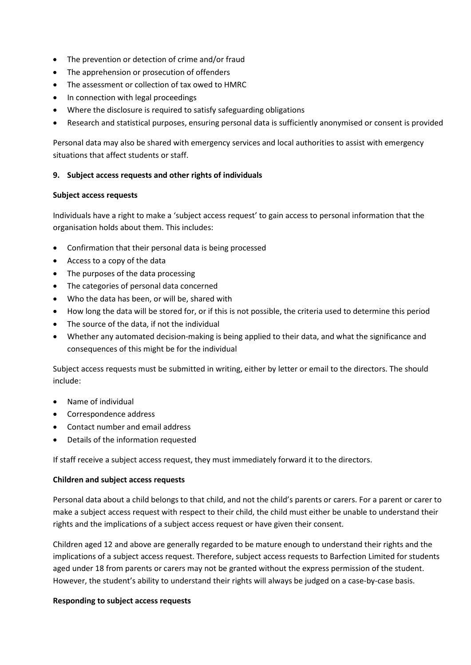- The prevention or detection of crime and/or fraud
- The apprehension or prosecution of offenders
- The assessment or collection of tax owed to HMRC
- In connection with legal proceedings
- Where the disclosure is required to satisfy safeguarding obligations
- Research and statistical purposes, ensuring personal data is sufficiently anonymised or consent is provided

Personal data may also be shared with emergency services and local authorities to assist with emergency situations that affect students or staff.

#### **9. Subject access requests and other rights of individuals**

#### **Subject access requests**

Individuals have a right to make a 'subject access request' to gain access to personal information that the organisation holds about them. This includes:

- Confirmation that their personal data is being processed
- Access to a copy of the data
- The purposes of the data processing
- The categories of personal data concerned
- Who the data has been, or will be, shared with
- How long the data will be stored for, or if this is not possible, the criteria used to determine this period
- The source of the data, if not the individual
- Whether any automated decision-making is being applied to their data, and what the significance and consequences of this might be for the individual

Subject access requests must be submitted in writing, either by letter or email to the directors. The should include:

- Name of individual
- Correspondence address
- Contact number and email address
- Details of the information requested

If staff receive a subject access request, they must immediately forward it to the directors.

#### **Children and subject access requests**

Personal data about a child belongs to that child, and not the child's parents or carers. For a parent or carer to make a subject access request with respect to their child, the child must either be unable to understand their rights and the implications of a subject access request or have given their consent.

Children aged 12 and above are generally regarded to be mature enough to understand their rights and the implications of a subject access request. Therefore, subject access requests to Barfection Limited for students aged under 18 from parents or carers may not be granted without the express permission of the student. However, the student's ability to understand their rights will always be judged on a case-by-case basis.

#### **Responding to subject access requests**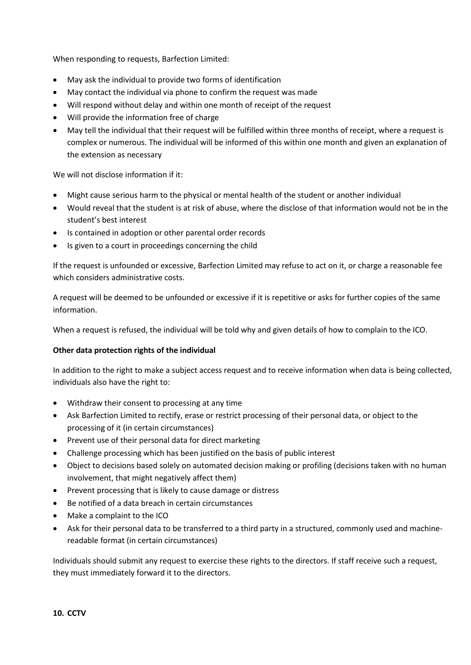When responding to requests, Barfection Limited:

- May ask the individual to provide two forms of identification
- May contact the individual via phone to confirm the request was made
- Will respond without delay and within one month of receipt of the request
- Will provide the information free of charge
- May tell the individual that their request will be fulfilled within three months of receipt, where a request is complex or numerous. The individual will be informed of this within one month and given an explanation of the extension as necessary

We will not disclose information if it:

- Might cause serious harm to the physical or mental health of the student or another individual
- Would reveal that the student is at risk of abuse, where the disclose of that information would not be in the student's best interest
- Is contained in adoption or other parental order records
- Is given to a court in proceedings concerning the child

If the request is unfounded or excessive, Barfection Limited may refuse to act on it, or charge a reasonable fee which considers administrative costs.

A request will be deemed to be unfounded or excessive if it is repetitive or asks for further copies of the same information.

When a request is refused, the individual will be told why and given details of how to complain to the ICO.

# **Other data protection rights of the individual**

In addition to the right to make a subject access request and to receive information when data is being collected, individuals also have the right to:

- Withdraw their consent to processing at any time
- Ask Barfection Limited to rectify, erase or restrict processing of their personal data, or object to the processing of it (in certain circumstances)
- Prevent use of their personal data for direct marketing
- Challenge processing which has been justified on the basis of public interest
- Object to decisions based solely on automated decision making or profiling (decisions taken with no human involvement, that might negatively affect them)
- Prevent processing that is likely to cause damage or distress
- Be notified of a data breach in certain circumstances
- Make a complaint to the ICO
- Ask for their personal data to be transferred to a third party in a structured, commonly used and machinereadable format (in certain circumstances)

Individuals should submit any request to exercise these rights to the directors. If staff receive such a request, they must immediately forward it to the directors.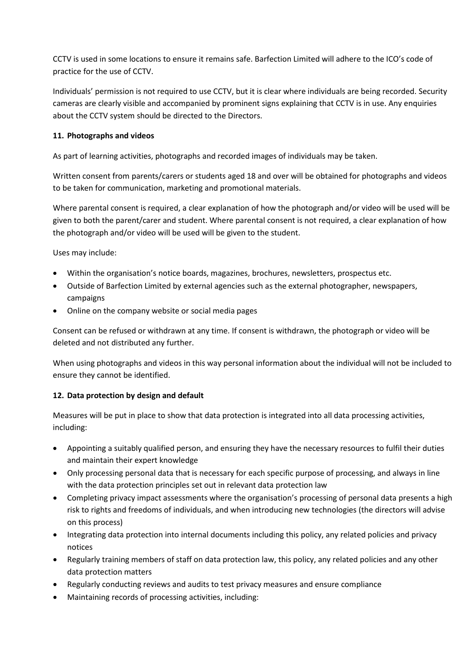CCTV is used in some locations to ensure it remains safe. Barfection Limited will adhere to the ICO's code of practice for the use of CCTV.

Individuals' permission is not required to use CCTV, but it is clear where individuals are being recorded. Security cameras are clearly visible and accompanied by prominent signs explaining that CCTV is in use. Any enquiries about the CCTV system should be directed to the Directors.

# **11. Photographs and videos**

As part of learning activities, photographs and recorded images of individuals may be taken.

Written consent from parents/carers or students aged 18 and over will be obtained for photographs and videos to be taken for communication, marketing and promotional materials.

Where parental consent is required, a clear explanation of how the photograph and/or video will be used will be given to both the parent/carer and student. Where parental consent is not required, a clear explanation of how the photograph and/or video will be used will be given to the student.

Uses may include:

- Within the organisation's notice boards, magazines, brochures, newsletters, prospectus etc.
- Outside of Barfection Limited by external agencies such as the external photographer, newspapers, campaigns
- Online on the company website or social media pages

Consent can be refused or withdrawn at any time. If consent is withdrawn, the photograph or video will be deleted and not distributed any further.

When using photographs and videos in this way personal information about the individual will not be included to ensure they cannot be identified.

# **12. Data protection by design and default**

Measures will be put in place to show that data protection is integrated into all data processing activities, including:

- Appointing a suitably qualified person, and ensuring they have the necessary resources to fulfil their duties and maintain their expert knowledge
- Only processing personal data that is necessary for each specific purpose of processing, and always in line with the data protection principles set out in relevant data protection law
- Completing privacy impact assessments where the organisation's processing of personal data presents a high risk to rights and freedoms of individuals, and when introducing new technologies (the directors will advise on this process)
- Integrating data protection into internal documents including this policy, any related policies and privacy notices
- Regularly training members of staff on data protection law, this policy, any related policies and any other data protection matters
- Regularly conducting reviews and audits to test privacy measures and ensure compliance
- Maintaining records of processing activities, including: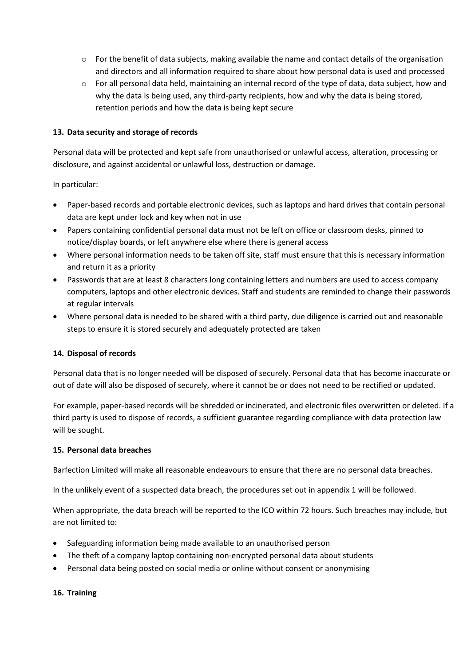- $\circ$  For the benefit of data subjects, making available the name and contact details of the organisation and directors and all information required to share about how personal data is used and processed
- $\circ$  For all personal data held, maintaining an internal record of the type of data, data subject, how and why the data is being used, any third-party recipients, how and why the data is being stored, retention periods and how the data is being kept secure

# **13. Data security and storage of records**

Personal data will be protected and kept safe from unauthorised or unlawful access, alteration, processing or disclosure, and against accidental or unlawful loss, destruction or damage.

In particular:

- Paper-based records and portable electronic devices, such as laptops and hard drives that contain personal data are kept under lock and key when not in use
- Papers containing confidential personal data must not be left on office or classroom desks, pinned to notice/display boards, or left anywhere else where there is general access
- Where personal information needs to be taken off site, staff must ensure that this is necessary information and return it as a priority
- Passwords that are at least 8 characters long containing letters and numbers are used to access company computers, laptops and other electronic devices. Staff and students are reminded to change their passwords at regular intervals
- Where personal data is needed to be shared with a third party, due diligence is carried out and reasonable steps to ensure it is stored securely and adequately protected are taken

#### **14. Disposal of records**

Personal data that is no longer needed will be disposed of securely. Personal data that has become inaccurate or out of date will also be disposed of securely, where it cannot be or does not need to be rectified or updated.

For example, paper-based records will be shredded or incinerated, and electronic files overwritten or deleted. If a third party is used to dispose of records, a sufficient guarantee regarding compliance with data protection law will be sought.

#### **15. Personal data breaches**

Barfection Limited will make all reasonable endeavours to ensure that there are no personal data breaches.

In the unlikely event of a suspected data breach, the procedures set out in appendix 1 will be followed.

When appropriate, the data breach will be reported to the ICO within 72 hours. Such breaches may include, but are not limited to:

- Safeguarding information being made available to an unauthorised person
- The theft of a company laptop containing non-encrypted personal data about students
- Personal data being posted on social media or online without consent or anonymising

#### **16. Training**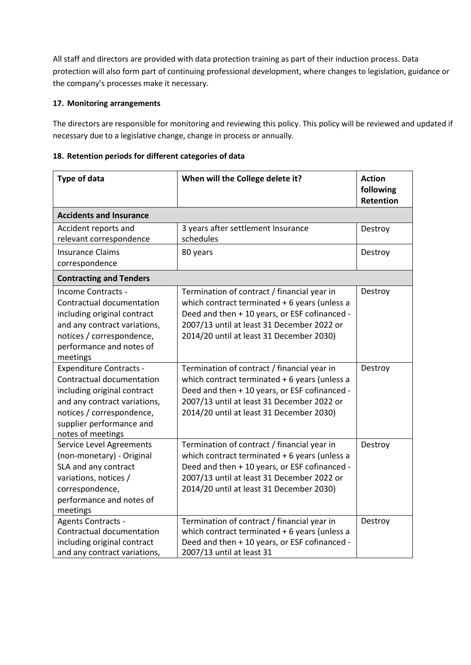All staff and directors are provided with data protection training as part of their induction process. Data protection will also form part of continuing professional development, where changes to legislation, guidance or the company's processes make it necessary.

# **17. Monitoring arrangements**

The directors are responsible for monitoring and reviewing this policy. This policy will be reviewed and updated if necessary due to a legislative change, change in process or annually.

|  |  |  |  | 18. Retention periods for different categories of data |  |
|--|--|--|--|--------------------------------------------------------|--|
|--|--|--|--|--------------------------------------------------------|--|

| <b>Type of data</b>                                                                                                                                                                                      | When will the College delete it?                                                                                                                                                                                                         | <b>Action</b><br>following<br>Retention |
|----------------------------------------------------------------------------------------------------------------------------------------------------------------------------------------------------------|------------------------------------------------------------------------------------------------------------------------------------------------------------------------------------------------------------------------------------------|-----------------------------------------|
| <b>Accidents and Insurance</b>                                                                                                                                                                           |                                                                                                                                                                                                                                          |                                         |
| Accident reports and<br>relevant correspondence                                                                                                                                                          | 3 years after settlement Insurance<br>schedules                                                                                                                                                                                          | Destroy                                 |
| <b>Insurance Claims</b><br>correspondence                                                                                                                                                                | 80 years                                                                                                                                                                                                                                 | Destroy                                 |
| <b>Contracting and Tenders</b>                                                                                                                                                                           |                                                                                                                                                                                                                                          |                                         |
| Income Contracts -<br>Contractual documentation<br>including original contract<br>and any contract variations,<br>notices / correspondence,<br>performance and notes of<br>meetings                      | Termination of contract / financial year in<br>which contract terminated $+6$ years (unless a<br>Deed and then + 10 years, or ESF cofinanced -<br>2007/13 until at least 31 December 2022 or<br>2014/20 until at least 31 December 2030) | Destroy                                 |
| <b>Expenditure Contracts -</b><br>Contractual documentation<br>including original contract<br>and any contract variations,<br>notices / correspondence,<br>supplier performance and<br>notes of meetings | Termination of contract / financial year in<br>which contract terminated + 6 years (unless a<br>Deed and then + 10 years, or ESF cofinanced -<br>2007/13 until at least 31 December 2022 or<br>2014/20 until at least 31 December 2030)  | Destroy                                 |
| Service Level Agreements<br>(non-monetary) - Original<br>SLA and any contract<br>variations, notices /<br>correspondence,<br>performance and notes of<br>meetings                                        | Termination of contract / financial year in<br>which contract terminated $+6$ years (unless a<br>Deed and then + 10 years, or ESF cofinanced -<br>2007/13 until at least 31 December 2022 or<br>2014/20 until at least 31 December 2030) | Destroy                                 |
| Agents Contracts -<br>Contractual documentation<br>including original contract<br>and any contract variations,                                                                                           | Termination of contract / financial year in<br>which contract terminated + 6 years (unless a<br>Deed and then + 10 years, or ESF cofinanced -<br>2007/13 until at least 31                                                               | Destroy                                 |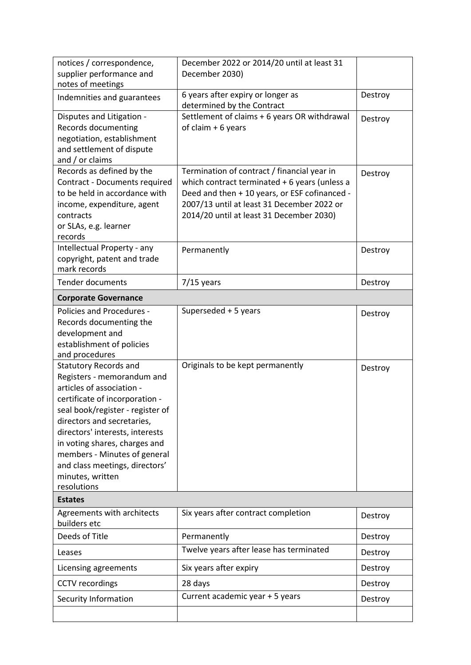| notices / correspondence,<br>supplier performance and                                                                                                                                                                                                                                                                                                                | December 2022 or 2014/20 until at least 31<br>December 2030)                                                                                                                                                                            |         |
|----------------------------------------------------------------------------------------------------------------------------------------------------------------------------------------------------------------------------------------------------------------------------------------------------------------------------------------------------------------------|-----------------------------------------------------------------------------------------------------------------------------------------------------------------------------------------------------------------------------------------|---------|
| notes of meetings<br>Indemnities and guarantees                                                                                                                                                                                                                                                                                                                      | 6 years after expiry or longer as                                                                                                                                                                                                       | Destroy |
| Disputes and Litigation -<br>Records documenting<br>negotiation, establishment<br>and settlement of dispute<br>and / or claims                                                                                                                                                                                                                                       | determined by the Contract<br>Settlement of claims + 6 years OR withdrawal<br>of claim $+6$ years                                                                                                                                       | Destroy |
| Records as defined by the<br>Contract - Documents required<br>to be held in accordance with<br>income, expenditure, agent<br>contracts<br>or SLAs, e.g. learner<br>records                                                                                                                                                                                           | Termination of contract / financial year in<br>which contract terminated + 6 years (unless a<br>Deed and then + 10 years, or ESF cofinanced -<br>2007/13 until at least 31 December 2022 or<br>2014/20 until at least 31 December 2030) | Destroy |
| Intellectual Property - any<br>copyright, patent and trade<br>mark records                                                                                                                                                                                                                                                                                           | Permanently                                                                                                                                                                                                                             | Destroy |
| <b>Tender documents</b>                                                                                                                                                                                                                                                                                                                                              | $7/15$ years                                                                                                                                                                                                                            | Destroy |
| <b>Corporate Governance</b>                                                                                                                                                                                                                                                                                                                                          |                                                                                                                                                                                                                                         |         |
| Policies and Procedures -<br>Records documenting the<br>development and<br>establishment of policies<br>and procedures                                                                                                                                                                                                                                               | Superseded + 5 years                                                                                                                                                                                                                    | Destroy |
| <b>Statutory Records and</b><br>Registers - memorandum and<br>articles of association -<br>certificate of incorporation -<br>seal book/register - register of<br>directors and secretaries,<br>directors' interests, interests<br>in voting shares, charges and<br>members - Minutes of general<br>and class meetings, directors'<br>minutes, written<br>resolutions | Originals to be kept permanently                                                                                                                                                                                                        | Destroy |
| <b>Estates</b>                                                                                                                                                                                                                                                                                                                                                       |                                                                                                                                                                                                                                         |         |
| Agreements with architects<br>builders etc                                                                                                                                                                                                                                                                                                                           | Six years after contract completion                                                                                                                                                                                                     | Destroy |
| Deeds of Title                                                                                                                                                                                                                                                                                                                                                       | Permanently                                                                                                                                                                                                                             | Destroy |
| Leases                                                                                                                                                                                                                                                                                                                                                               | Twelve years after lease has terminated                                                                                                                                                                                                 | Destroy |
| Licensing agreements                                                                                                                                                                                                                                                                                                                                                 | Six years after expiry                                                                                                                                                                                                                  | Destroy |
| <b>CCTV</b> recordings                                                                                                                                                                                                                                                                                                                                               | 28 days                                                                                                                                                                                                                                 | Destroy |
| Security Information                                                                                                                                                                                                                                                                                                                                                 | Current academic year + 5 years                                                                                                                                                                                                         | Destroy |
|                                                                                                                                                                                                                                                                                                                                                                      |                                                                                                                                                                                                                                         |         |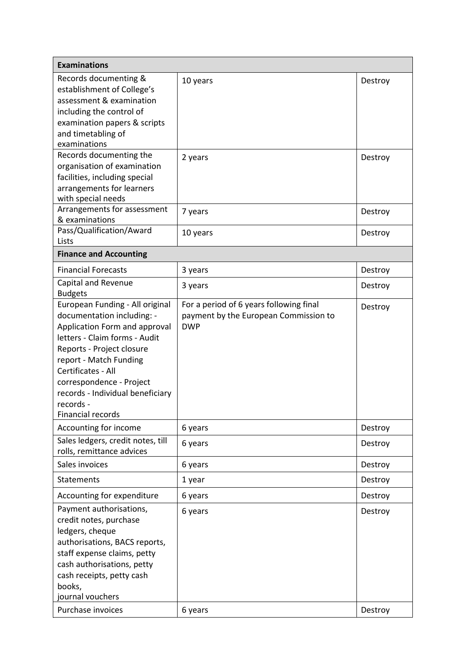| <b>Examinations</b>                                                                                                                                                                                                                                                                                            |                                                                                                |                    |
|----------------------------------------------------------------------------------------------------------------------------------------------------------------------------------------------------------------------------------------------------------------------------------------------------------------|------------------------------------------------------------------------------------------------|--------------------|
| Records documenting &<br>establishment of College's<br>assessment & examination<br>including the control of<br>examination papers & scripts<br>and timetabling of<br>examinations                                                                                                                              | 10 years                                                                                       | Destroy            |
| Records documenting the<br>organisation of examination<br>facilities, including special<br>arrangements for learners<br>with special needs                                                                                                                                                                     | 2 years                                                                                        | Destroy            |
| Arrangements for assessment<br>& examinations                                                                                                                                                                                                                                                                  | 7 years                                                                                        | Destroy            |
| Pass/Qualification/Award<br>Lists                                                                                                                                                                                                                                                                              | 10 years                                                                                       | Destroy            |
| <b>Finance and Accounting</b>                                                                                                                                                                                                                                                                                  |                                                                                                |                    |
| <b>Financial Forecasts</b>                                                                                                                                                                                                                                                                                     | 3 years                                                                                        | Destroy            |
| Capital and Revenue<br><b>Budgets</b>                                                                                                                                                                                                                                                                          | 3 years                                                                                        | Destroy            |
| European Funding - All original<br>documentation including: -<br>Application Form and approval<br>letters - Claim forms - Audit<br>Reports - Project closure<br>report - Match Funding<br>Certificates - All<br>correspondence - Project<br>records - Individual beneficiary<br>records -<br>Financial records | For a period of 6 years following final<br>payment by the European Commission to<br><b>DWP</b> | Destroy            |
| Accounting for income                                                                                                                                                                                                                                                                                          | 6 years                                                                                        | Destroy            |
| Sales ledgers, credit notes, till<br>rolls, remittance advices                                                                                                                                                                                                                                                 | 6 years                                                                                        | Destroy            |
| Sales invoices                                                                                                                                                                                                                                                                                                 | 6 years                                                                                        | Destroy            |
| <b>Statements</b>                                                                                                                                                                                                                                                                                              | 1 year                                                                                         | Destroy            |
| Accounting for expenditure                                                                                                                                                                                                                                                                                     | 6 years                                                                                        | Destroy            |
| Payment authorisations,<br>credit notes, purchase<br>ledgers, cheque<br>authorisations, BACS reports,<br>staff expense claims, petty<br>cash authorisations, petty<br>cash receipts, petty cash<br>books,<br>journal vouchers<br>Purchase invoices                                                             | 6 years<br>6 years                                                                             | Destroy<br>Destroy |
|                                                                                                                                                                                                                                                                                                                |                                                                                                |                    |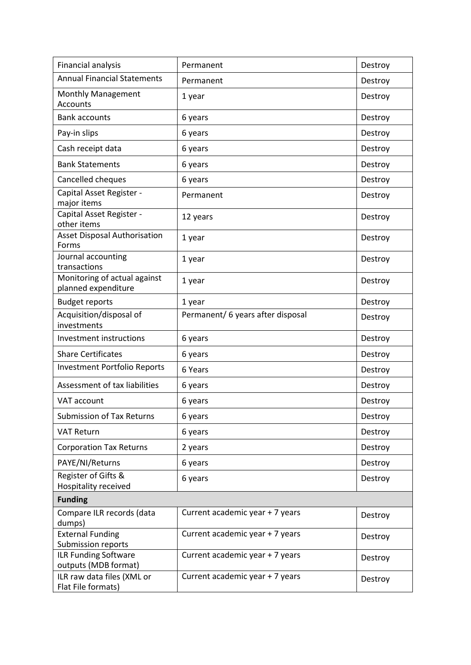| Financial analysis                                  | Permanent                         | Destroy |
|-----------------------------------------------------|-----------------------------------|---------|
| <b>Annual Financial Statements</b>                  | Permanent                         | Destroy |
| Monthly Management<br>Accounts                      | 1 year                            | Destroy |
| <b>Bank accounts</b>                                | 6 years                           | Destroy |
| Pay-in slips                                        | 6 years                           | Destroy |
| Cash receipt data                                   | 6 years                           | Destroy |
| <b>Bank Statements</b>                              | 6 years                           | Destroy |
| Cancelled cheques                                   | 6 years                           | Destroy |
| Capital Asset Register -<br>major items             | Permanent                         | Destroy |
| Capital Asset Register -<br>other items             | 12 years                          | Destroy |
| <b>Asset Disposal Authorisation</b><br>Forms        | 1 year                            | Destroy |
| Journal accounting<br>transactions                  | 1 year                            | Destroy |
| Monitoring of actual against<br>planned expenditure | 1 year                            | Destroy |
| <b>Budget reports</b>                               | 1 year                            | Destroy |
| Acquisition/disposal of<br>investments              | Permanent/ 6 years after disposal | Destroy |
| <b>Investment instructions</b>                      | 6 years                           | Destroy |
| <b>Share Certificates</b>                           | 6 years                           | Destroy |
| <b>Investment Portfolio Reports</b>                 | 6 Years                           | Destroy |
| Assessment of tax liabilities                       | 6 years                           | Destroy |
| VAT account                                         | 6 years                           | Destroy |
| <b>Submission of Tax Returns</b>                    | 6 years                           | Destroy |
| <b>VAT Return</b>                                   | 6 years                           | Destroy |
| <b>Corporation Tax Returns</b>                      | 2 years                           | Destroy |
| PAYE/NI/Returns                                     | 6 years                           | Destroy |
| Register of Gifts &                                 | 6 years                           | Destroy |
| Hospitality received<br><b>Funding</b>              |                                   |         |
| Compare ILR records (data                           | Current academic year + 7 years   |         |
| dumps)                                              |                                   | Destroy |
| <b>External Funding</b>                             | Current academic year + 7 years   | Destroy |
| Submission reports                                  |                                   |         |
| ILR Funding Software<br>outputs (MDB format)        | Current academic year + 7 years   | Destroy |
| ILR raw data files (XML or<br>Flat File formats)    | Current academic year + 7 years   | Destroy |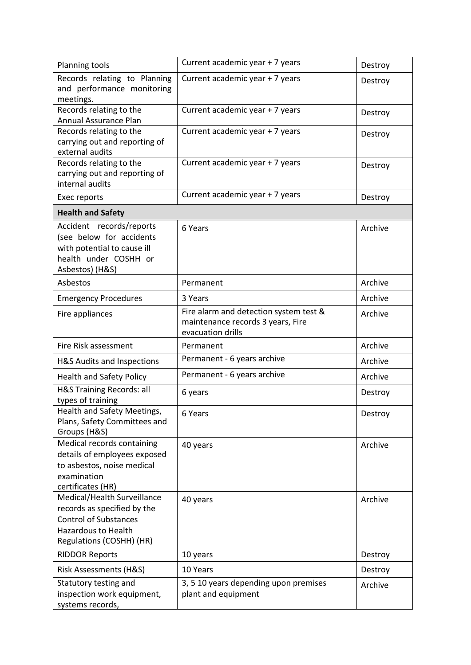| Planning tools                                                                                                                                       | Current academic year + 7 years                                                                  | Destroy |
|------------------------------------------------------------------------------------------------------------------------------------------------------|--------------------------------------------------------------------------------------------------|---------|
| Records relating to Planning<br>and performance monitoring<br>meetings.                                                                              | Current academic year + 7 years                                                                  | Destroy |
| Records relating to the<br>Annual Assurance Plan                                                                                                     | Current academic year + 7 years                                                                  | Destroy |
| Records relating to the<br>carrying out and reporting of<br>external audits                                                                          | Current academic year + 7 years                                                                  | Destroy |
| Records relating to the<br>carrying out and reporting of<br>internal audits                                                                          | Current academic year + 7 years                                                                  | Destroy |
| Exec reports                                                                                                                                         | Current academic year + 7 years                                                                  | Destroy |
| <b>Health and Safety</b>                                                                                                                             |                                                                                                  |         |
| Accident records/reports<br>(see below for accidents<br>with potential to cause ill<br>health under COSHH or<br>Asbestos) (H&S)                      | 6 Years                                                                                          | Archive |
| Asbestos                                                                                                                                             | Permanent                                                                                        | Archive |
| <b>Emergency Procedures</b>                                                                                                                          | 3 Years                                                                                          | Archive |
| Fire appliances                                                                                                                                      | Fire alarm and detection system test &<br>maintenance records 3 years, Fire<br>evacuation drills | Archive |
| Fire Risk assessment                                                                                                                                 | Permanent                                                                                        | Archive |
| H&S Audits and Inspections                                                                                                                           | Permanent - 6 years archive                                                                      | Archive |
| <b>Health and Safety Policy</b>                                                                                                                      | Permanent - 6 years archive                                                                      | Archive |
| <b>H&amp;S Training Records: all</b><br>types of training                                                                                            | 6 years                                                                                          | Destroy |
| Health and Safety Meetings,<br>Plans, Safety Committees and<br>Groups (H&S)                                                                          | 6 Years                                                                                          | Destroy |
| Medical records containing<br>details of employees exposed<br>to asbestos, noise medical<br>examination<br>certificates (HR)                         | 40 years                                                                                         | Archive |
| Medical/Health Surveillance<br>records as specified by the<br><b>Control of Substances</b><br><b>Hazardous to Health</b><br>Regulations (COSHH) (HR) | 40 years                                                                                         | Archive |
| <b>RIDDOR Reports</b>                                                                                                                                | 10 years                                                                                         | Destroy |
| Risk Assessments (H&S)                                                                                                                               | 10 Years                                                                                         | Destroy |
| Statutory testing and<br>inspection work equipment,<br>systems records,                                                                              | 3, 5 10 years depending upon premises<br>plant and equipment                                     | Archive |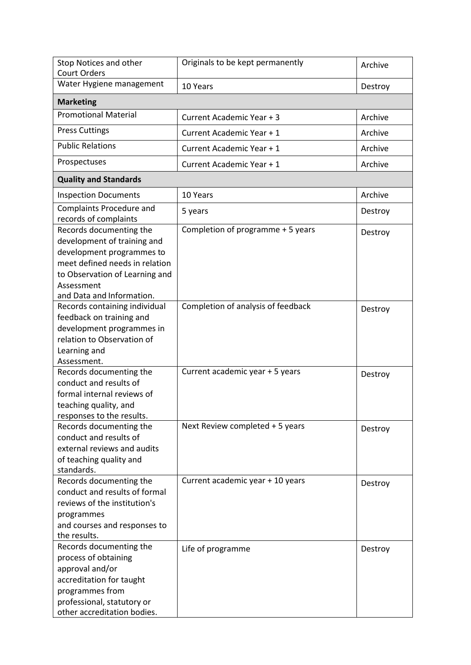| Stop Notices and other<br><b>Court Orders</b>                                                                                                                                                      | Originals to be kept permanently   | Archive |
|----------------------------------------------------------------------------------------------------------------------------------------------------------------------------------------------------|------------------------------------|---------|
| Water Hygiene management                                                                                                                                                                           | 10 Years                           | Destroy |
| <b>Marketing</b>                                                                                                                                                                                   |                                    |         |
| <b>Promotional Material</b>                                                                                                                                                                        | Current Academic Year + 3          | Archive |
| <b>Press Cuttings</b>                                                                                                                                                                              | Current Academic Year + 1          | Archive |
| <b>Public Relations</b>                                                                                                                                                                            | Current Academic Year + 1          | Archive |
| Prospectuses                                                                                                                                                                                       | Current Academic Year + 1          | Archive |
| <b>Quality and Standards</b>                                                                                                                                                                       |                                    |         |
| <b>Inspection Documents</b>                                                                                                                                                                        | 10 Years                           | Archive |
| <b>Complaints Procedure and</b><br>records of complaints                                                                                                                                           | 5 years                            | Destroy |
| Records documenting the<br>development of training and<br>development programmes to<br>meet defined needs in relation<br>to Observation of Learning and<br>Assessment<br>and Data and Information. | Completion of programme + 5 years  | Destroy |
| Records containing individual<br>feedback on training and<br>development programmes in<br>relation to Observation of<br>Learning and<br>Assessment.                                                | Completion of analysis of feedback | Destroy |
| Records documenting the<br>conduct and results of<br>formal internal reviews of<br>teaching quality, and<br>responses to the results.                                                              | Current academic year + 5 years    | Destroy |
| Records documenting the<br>conduct and results of<br>external reviews and audits<br>of teaching quality and<br>standards.                                                                          | Next Review completed + 5 years    | Destroy |
| Records documenting the<br>conduct and results of formal<br>reviews of the institution's<br>programmes<br>and courses and responses to<br>the results.                                             | Current academic year + 10 years   | Destroy |
| Records documenting the<br>process of obtaining<br>approval and/or<br>accreditation for taught<br>programmes from<br>professional, statutory or<br>other accreditation bodies.                     | Life of programme                  | Destroy |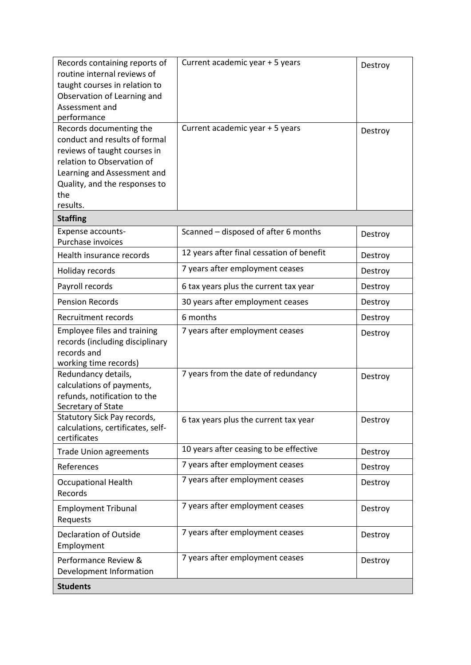| Records containing reports of<br>routine internal reviews of<br>taught courses in relation to<br>Observation of Learning and<br>Assessment and<br>performance                                             | Current academic year + 5 years           | Destroy |
|-----------------------------------------------------------------------------------------------------------------------------------------------------------------------------------------------------------|-------------------------------------------|---------|
| Records documenting the<br>conduct and results of formal<br>reviews of taught courses in<br>relation to Observation of<br>Learning and Assessment and<br>Quality, and the responses to<br>the<br>results. | Current academic year + 5 years           | Destroy |
| <b>Staffing</b>                                                                                                                                                                                           |                                           |         |
| Expense accounts-<br>Purchase invoices                                                                                                                                                                    | Scanned - disposed of after 6 months      | Destroy |
| Health insurance records                                                                                                                                                                                  | 12 years after final cessation of benefit | Destroy |
| Holiday records                                                                                                                                                                                           | 7 years after employment ceases           | Destroy |
| Payroll records                                                                                                                                                                                           | 6 tax years plus the current tax year     | Destroy |
| <b>Pension Records</b>                                                                                                                                                                                    | 30 years after employment ceases          | Destroy |
| Recruitment records                                                                                                                                                                                       | 6 months                                  | Destroy |
| Employee files and training<br>records (including disciplinary<br>records and<br>working time records)                                                                                                    | 7 years after employment ceases           | Destroy |
| Redundancy details,<br>calculations of payments,<br>refunds, notification to the<br>Secretary of State                                                                                                    | 7 years from the date of redundancy       | Destroy |
| Statutory Sick Pay records,<br>calculations, certificates, self-<br>certificates                                                                                                                          | 6 tax years plus the current tax year     | Destroy |
| <b>Trade Union agreements</b>                                                                                                                                                                             | 10 years after ceasing to be effective    | Destroy |
| References                                                                                                                                                                                                | 7 years after employment ceases           | Destroy |
| <b>Occupational Health</b><br>Records                                                                                                                                                                     | 7 years after employment ceases           | Destroy |
| <b>Employment Tribunal</b><br>Requests                                                                                                                                                                    | 7 years after employment ceases           | Destroy |
| <b>Declaration of Outside</b><br>Employment                                                                                                                                                               | 7 years after employment ceases           | Destroy |
| Performance Review &<br>Development Information                                                                                                                                                           | 7 years after employment ceases           | Destroy |
| <b>Students</b>                                                                                                                                                                                           |                                           |         |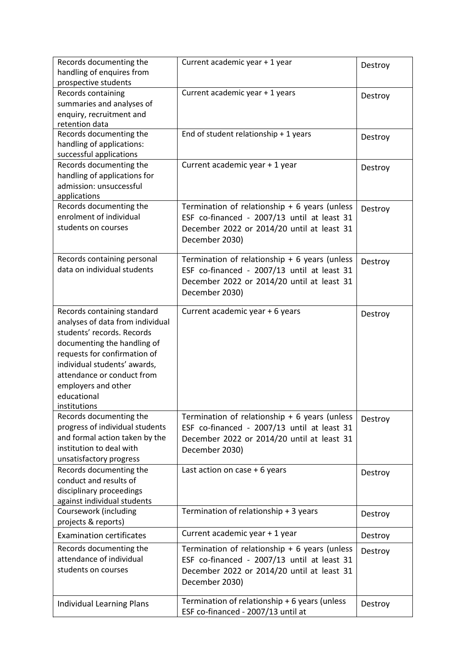| Records documenting the<br>handling of enquires from<br>prospective students                                                                                                                                                                                                     | Current academic year + 1 year                                                                                                                                 | Destroy |
|----------------------------------------------------------------------------------------------------------------------------------------------------------------------------------------------------------------------------------------------------------------------------------|----------------------------------------------------------------------------------------------------------------------------------------------------------------|---------|
| Records containing<br>summaries and analyses of<br>enquiry, recruitment and<br>retention data                                                                                                                                                                                    | Current academic year + 1 years                                                                                                                                | Destroy |
| Records documenting the<br>handling of applications:<br>successful applications                                                                                                                                                                                                  | End of student relationship + 1 years                                                                                                                          | Destroy |
| Records documenting the<br>handling of applications for<br>admission: unsuccessful<br>applications                                                                                                                                                                               | Current academic year + 1 year                                                                                                                                 | Destroy |
| Records documenting the<br>enrolment of individual<br>students on courses                                                                                                                                                                                                        | Termination of relationship $+ 6$ years (unless<br>ESF co-financed - 2007/13 until at least 31<br>December 2022 or 2014/20 until at least 31<br>December 2030) | Destroy |
| Records containing personal<br>data on individual students                                                                                                                                                                                                                       | Termination of relationship $+ 6$ years (unless<br>ESF co-financed - 2007/13 until at least 31<br>December 2022 or 2014/20 until at least 31<br>December 2030) | Destroy |
| Records containing standard<br>analyses of data from individual<br>students' records. Records<br>documenting the handling of<br>requests for confirmation of<br>individual students' awards,<br>attendance or conduct from<br>employers and other<br>educational<br>institutions | Current academic year + 6 years                                                                                                                                | Destroy |
| Records documenting the<br>progress of individual students<br>and formal action taken by the<br>institution to deal with<br>unsatisfactory progress                                                                                                                              | Termination of relationship $+$ 6 years (unless<br>ESF co-financed - 2007/13 until at least 31<br>December 2022 or 2014/20 until at least 31<br>December 2030) | Destroy |
| Records documenting the<br>conduct and results of<br>disciplinary proceedings<br>against individual students                                                                                                                                                                     | Last action on case $+6$ years                                                                                                                                 | Destroy |
| Coursework (including<br>projects & reports)                                                                                                                                                                                                                                     | Termination of relationship + 3 years                                                                                                                          | Destroy |
| <b>Examination certificates</b>                                                                                                                                                                                                                                                  | Current academic year + 1 year                                                                                                                                 | Destroy |
| Records documenting the<br>attendance of individual<br>students on courses                                                                                                                                                                                                       | Termination of relationship $+ 6$ years (unless<br>ESF co-financed - 2007/13 until at least 31<br>December 2022 or 2014/20 until at least 31<br>December 2030) | Destroy |
| <b>Individual Learning Plans</b>                                                                                                                                                                                                                                                 | Termination of relationship + 6 years (unless<br>ESF co-financed - 2007/13 until at                                                                            | Destroy |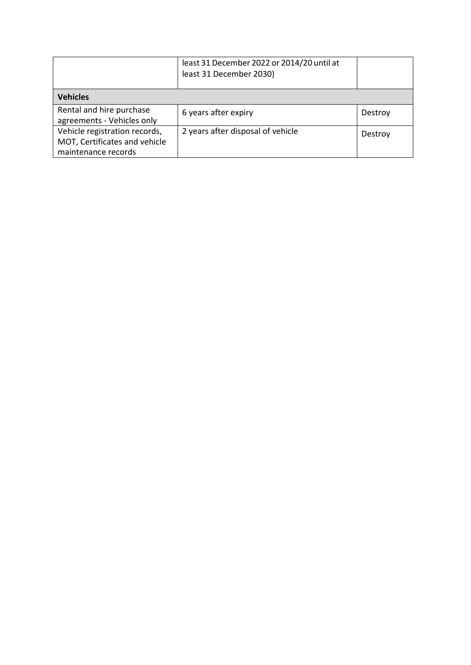|                                                                                       | least 31 December 2022 or 2014/20 until at<br>least 31 December 2030) |         |
|---------------------------------------------------------------------------------------|-----------------------------------------------------------------------|---------|
| <b>Vehicles</b>                                                                       |                                                                       |         |
| Rental and hire purchase<br>agreements - Vehicles only                                | 6 years after expiry                                                  | Destroy |
| Vehicle registration records,<br>MOT, Certificates and vehicle<br>maintenance records | 2 years after disposal of vehicle                                     | Destroy |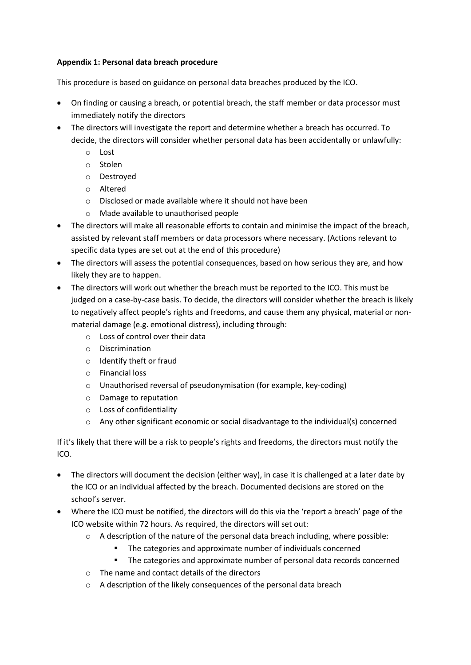# **Appendix 1: Personal data breach procedure**

This procedure is based on guidance on personal data breaches produced by the ICO.

- On finding or causing a breach, or potential breach, the staff member or data processor must immediately notify the directors
- The directors will investigate the report and determine whether a breach has occurred. To decide, the directors will consider whether personal data has been accidentally or unlawfully:
	- o Lost
	- o Stolen
	- o Destroyed
	- o Altered
	- o Disclosed or made available where it should not have been
	- o Made available to unauthorised people
- The directors will make all reasonable efforts to contain and minimise the impact of the breach, assisted by relevant staff members or data processors where necessary. (Actions relevant to specific data types are set out at the end of this procedure)
- The directors will assess the potential consequences, based on how serious they are, and how likely they are to happen.
- The directors will work out whether the breach must be reported to the ICO. This must be judged on a case-by-case basis. To decide, the directors will consider whether the breach is likely to negatively affect people's rights and freedoms, and cause them any physical, material or nonmaterial damage (e.g. emotional distress), including through:
	- o Loss of control over their data
	- o Discrimination
	- o Identify theft or fraud
	- o Financial loss
	- o Unauthorised reversal of pseudonymisation (for example, key-coding)
	- o Damage to reputation
	- o Loss of confidentiality
	- $\circ$  Any other significant economic or social disadvantage to the individual(s) concerned

If it's likely that there will be a risk to people's rights and freedoms, the directors must notify the ICO.

- The directors will document the decision (either way), in case it is challenged at a later date by the ICO or an individual affected by the breach. Documented decisions are stored on the school's server.
- Where the ICO must be notified, the directors will do this via the 'report a breach' page of the ICO website within 72 hours. As required, the directors will set out:
	- $\circ$  A description of the nature of the personal data breach including, where possible:
		- **The categories and approximate number of individuals concerned**
		- The categories and approximate number of personal data records concerned
	- o The name and contact details of the directors
	- o A description of the likely consequences of the personal data breach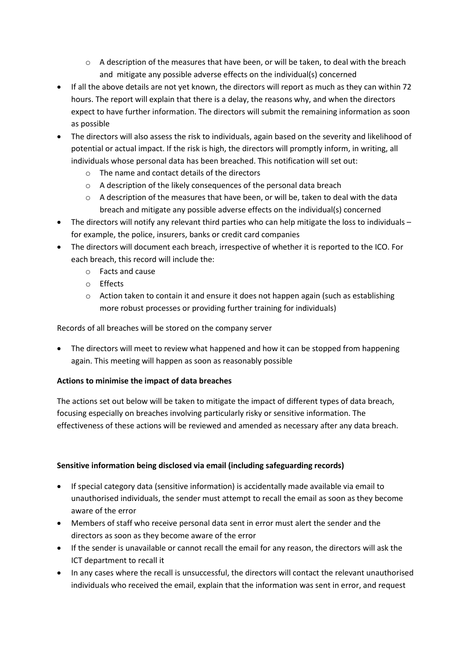- $\circ$  A description of the measures that have been, or will be taken, to deal with the breach and mitigate any possible adverse effects on the individual(s) concerned
- If all the above details are not yet known, the directors will report as much as they can within 72 hours. The report will explain that there is a delay, the reasons why, and when the directors expect to have further information. The directors will submit the remaining information as soon as possible
- The directors will also assess the risk to individuals, again based on the severity and likelihood of potential or actual impact. If the risk is high, the directors will promptly inform, in writing, all individuals whose personal data has been breached. This notification will set out:
	- o The name and contact details of the directors
	- o A description of the likely consequences of the personal data breach
	- $\circ$  A description of the measures that have been, or will be, taken to deal with the data breach and mitigate any possible adverse effects on the individual(s) concerned
- The directors will notify any relevant third parties who can help mitigate the loss to individuals for example, the police, insurers, banks or credit card companies
- The directors will document each breach, irrespective of whether it is reported to the ICO. For each breach, this record will include the:
	- o Facts and cause
	- o Effects
	- $\circ$  Action taken to contain it and ensure it does not happen again (such as establishing more robust processes or providing further training for individuals)

Records of all breaches will be stored on the company server

• The directors will meet to review what happened and how it can be stopped from happening again. This meeting will happen as soon as reasonably possible

# **Actions to minimise the impact of data breaches**

The actions set out below will be taken to mitigate the impact of different types of data breach, focusing especially on breaches involving particularly risky or sensitive information. The effectiveness of these actions will be reviewed and amended as necessary after any data breach.

# **Sensitive information being disclosed via email (including safeguarding records)**

- If special category data (sensitive information) is accidentally made available via email to unauthorised individuals, the sender must attempt to recall the email as soon as they become aware of the error
- Members of staff who receive personal data sent in error must alert the sender and the directors as soon as they become aware of the error
- If the sender is unavailable or cannot recall the email for any reason, the directors will ask the ICT department to recall it
- In any cases where the recall is unsuccessful, the directors will contact the relevant unauthorised individuals who received the email, explain that the information was sent in error, and request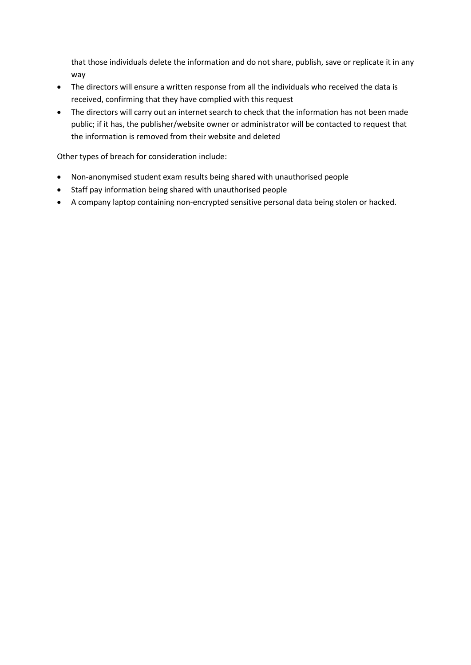that those individuals delete the information and do not share, publish, save or replicate it in any way

- The directors will ensure a written response from all the individuals who received the data is received, confirming that they have complied with this request
- The directors will carry out an internet search to check that the information has not been made public; if it has, the publisher/website owner or administrator will be contacted to request that the information is removed from their website and deleted

Other types of breach for consideration include:

- Non-anonymised student exam results being shared with unauthorised people
- Staff pay information being shared with unauthorised people
- A company laptop containing non-encrypted sensitive personal data being stolen or hacked.